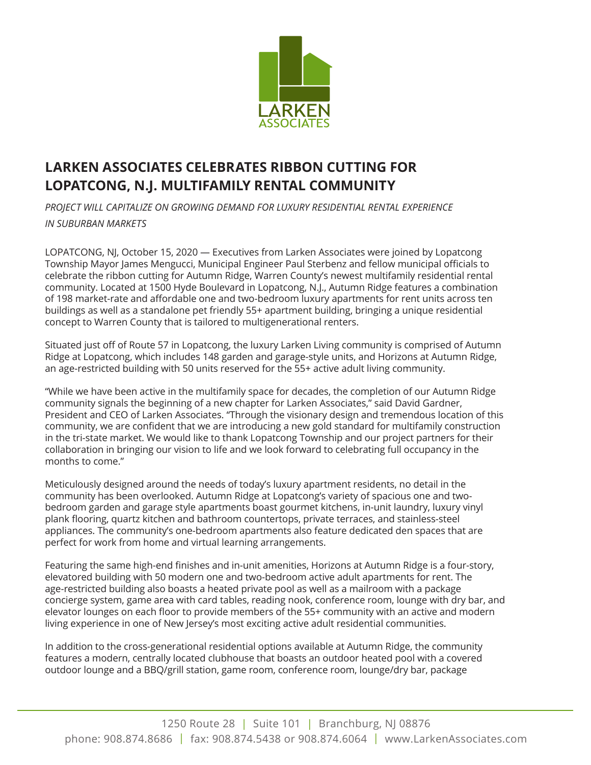

## **LARKEN ASSOCIATES CELEBRATES RIBBON CUTTING FOR LOPATCONG, N.J. MULTIFAMILY RENTAL COMMUNITY**

**PROJECT WILL CAPITALIZE ON GROWING DEMAND FOR LUXURY RESIDENTIAL RENTAL EXPERIENCE** *IN SUBURBAN MARKETS*

LOPATCONG, NJ, October 15, 2020 — Executives from Larken Associates were joined by Lopatcong Township Mayor James Mengucci, Municipal Engineer Paul Sterbenz and fellow municipal officials to celebrate the ribbon cutting for Autumn Ridge, Warren County's newest multifamily residential rental community. Located at 1500 Hyde Boulevard in Lopatcong, N.J., Autumn Ridge features a combination of 198 market-rate and affordable one and two-bedroom luxury apartments for rent units across ten buildings as well as a standalone pet friendly 55+ apartment building, bringing a unique residential concept to Warren County that is tailored to multigenerational renters.

Situated just off of Route 57 in Lopatcong, the luxury Larken Living community is comprised of Autumn Ridge at Lopatcong, which includes 148 garden and garage-style units, and Horizons at Autumn Ridge, an age-restricted building with 50 units reserved for the 55+ active adult living community.

"While we have been active in the multifamily space for decades, the completion of our Autumn Ridge community signals the beginning of a new chapter for Larken Associates," said David Gardner, President and CEO of Larken Associates. "Through the visionary design and tremendous location of this community, we are confident that we are introducing a new gold standard for multifamily construction in the tri-state market. We would like to thank Lopatcong Township and our project partners for their collaboration in bringing our vision to life and we look forward to celebrating full occupancy in the months to come."

Meticulously designed around the needs of today's luxury apartment residents, no detail in the community has been overlooked. Autumn Ridge at Lopatcong's variety of spacious one and twobedroom garden and garage style apartments boast gourmet kitchens, in-unit laundry, luxury vinyl plank flooring, quartz kitchen and bathroom countertops, private terraces, and stainless-steel appliances. The community's one-bedroom apartments also feature dedicated den spaces that are perfect for work from home and virtual learning arrangements.

Featuring the same high-end finishes and in-unit amenities, Horizons at Autumn Ridge is a four-story, elevatored building with 50 modern one and two-bedroom active adult apartments for rent. The age-restricted building also boasts a heated private pool as well as a mailroom with a package concierge system, game area with card tables, reading nook, conference room, lounge with dry bar, and elevator lounges on each floor to provide members of the 55+ community with an active and modern living experience in one of New Jersey's most exciting active adult residential communities.

In addition to the cross-generational residential options available at Autumn Ridge, the community features a modern, centrally located clubhouse that boasts an outdoor heated pool with a covered outdoor lounge and a BBQ/grill station, game room, conference room, lounge/dry bar, package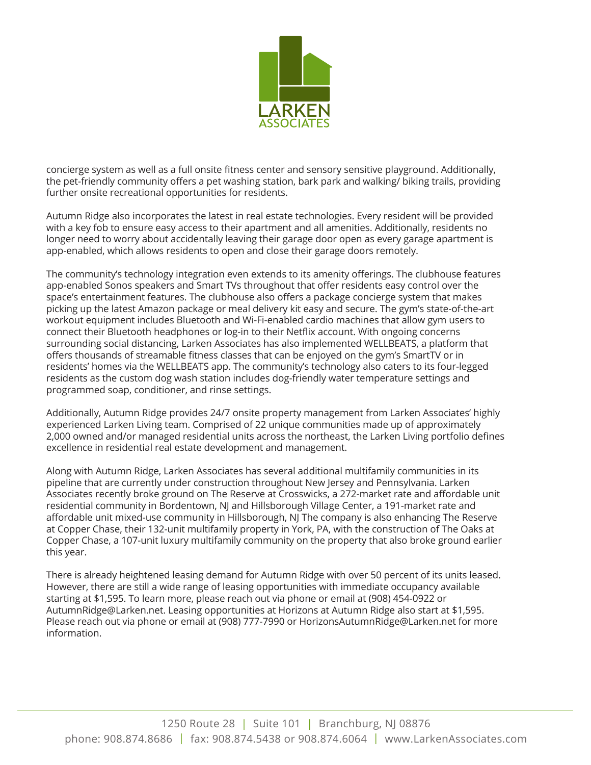

concierge system as well as a full onsite fitness center and sensory sensitive playground. Additionally, the pet-friendly community offers a pet washing station, bark park and walking/ biking trails, providing further onsite recreational opportunities for residents.

Autumn Ridge also incorporates the latest in real estate technologies. Every resident will be provided with a key fob to ensure easy access to their apartment and all amenities. Additionally, residents no longer need to worry about accidentally leaving their garage door open as every garage apartment is app-enabled, which allows residents to open and close their garage doors remotely.

The community's technology integration even extends to its amenity offerings. The clubhouse features app-enabled Sonos speakers and Smart TVs throughout that offer residents easy control over the space's entertainment features. The clubhouse also offers a package concierge system that makes picking up the latest Amazon package or meal delivery kit easy and secure. The gym's state-of-the-art workout equipment includes Bluetooth and Wi-Fi-enabled cardio machines that allow gym users to connect their Bluetooth headphones or log-in to their Netflix account. With ongoing concerns surrounding social distancing, Larken Associates has also implemented WELLBEATS, a platform that offers thousands of streamable fitness classes that can be enjoyed on the gym's SmartTV or in residents' homes via the WELLBEATS app. The community's technology also caters to its four-legged residents as the custom dog wash station includes dog-friendly water temperature settings and programmed soap, conditioner, and rinse settings.

Additionally, Autumn Ridge provides 24/7 onsite property management from Larken Associates' highly experienced Larken Living team. Comprised of 22 unique communities made up of approximately 2,000 owned and/or managed residential units across the northeast, the Larken Living portfolio defines excellence in residential real estate development and management.

Along with Autumn Ridge, Larken Associates has several additional multifamily communities in its pipeline that are currently under construction throughout New Jersey and Pennsylvania. Larken Associates recently broke ground on The Reserve at Crosswicks, a 272-market rate and affordable unit residential community in Bordentown, NJ and Hillsborough Village Center, a 191-market rate and affordable unit mixed-use community in Hillsborough, NJ The company is also enhancing The Reserve at Copper Chase, their 132-unit multifamily property in York, PA, with the construction of The Oaks at Copper Chase, a 107-unit luxury multifamily community on the property that also broke ground earlier this year.

There is already heightened leasing demand for Autumn Ridge with over 50 percent of its units leased. However, there are still a wide range of leasing opportunities with immediate occupancy available starting at \$1,595. To learn more, please reach out via phone or email at (908) 454-0922 or AutumnRidge@Larken.net. Leasing opportunities at Horizons at Autumn Ridge also start at \$1,595. Please reach out via phone or email at (908) 777-7990 or HorizonsAutumnRidge@Larken.net for more information.